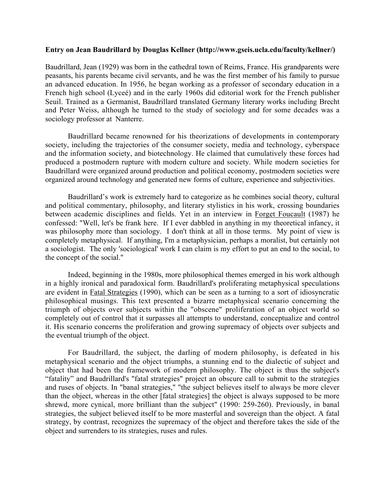## **Entry on Jean Baudrillard by Douglas Kellner (http://www.gseis.ucla.edu/faculty/kellner/)**

Baudrillard, Jean (1929) was born in the cathedral town of Reims, France. His grandparents were peasants, his parents became civil servants, and he was the first member of his family to pursue an advanced education. In 1956, he began working as a professor of secondary education in a French high school (Lyceé) and in the early 1960s did editorial work for the French publisher Seuil. Trained as a Germanist, Baudrillard translated Germany literary works including Brecht and Peter Weiss, although he turned to the study of sociology and for some decades was a sociology professor at Nanterre.

Baudrillard became renowned for his theorizations of developments in contemporary society, including the trajectories of the consumer society, media and technology, cyberspace and the information society, and biotechnology. He claimed that cumulatively these forces had produced a postmodern rupture with modern culture and society. While modern societies for Baudrillard were organized around production and political economy, postmodern societies were organized around technology and generated new forms of culture, experience and subjectivities.

Baudrillard's work is extremely hard to categorize as he combines social theory, cultural and political commentary, philosophy, and literary stylistics in his work, crossing boundaries between academic disciplines and fields. Yet in an interview in Forget Foucault (1987) he confessed: "Well, let's be frank here. If I ever dabbled in anything in my theoretical infancy, it was philosophy more than sociology. I don't think at all in those terms. My point of view is completely metaphysical. If anything, I'm a metaphysician, perhaps a moralist, but certainly not a sociologist. The only 'sociological' work I can claim is my effort to put an end to the social, to the concept of the social."

Indeed, beginning in the 1980s, more philosophical themes emerged in his work although in a highly ironical and paradoxical form. Baudrillard's proliferating metaphysical speculations are evident in Fatal Strategies (1990), which can be seen as a turning to a sort of idiosyncratic philosophical musings. This text presented a bizarre metaphysical scenario concerning the triumph of objects over subjects within the "obscene" proliferation of an object world so completely out of control that it surpasses all attempts to understand, conceptualize and control it. His scenario concerns the proliferation and growing supremacy of objects over subjects and the eventual triumph of the object.

For Baudrillard, the subject, the darling of modern philosophy, is defeated in his metaphysical scenario and the object triumphs, a stunning end to the dialectic of subject and object that had been the framework of modern philosophy. The object is thus the subject's "fatality" and Baudrillard's "fatal strategies" project an obscure call to submit to the strategies and ruses of objects. In "banal strategies," "the subject believes itself to always be more clever than the object, whereas in the other [fatal strategies] the object is always supposed to be more shrewd, more cynical, more brilliant than the subject" (1990: 259-260). Previously, in banal strategies, the subject believed itself to be more masterful and sovereign than the object. A fatal strategy, by contrast, recognizes the supremacy of the object and therefore takes the side of the object and surrenders to its strategies, ruses and rules.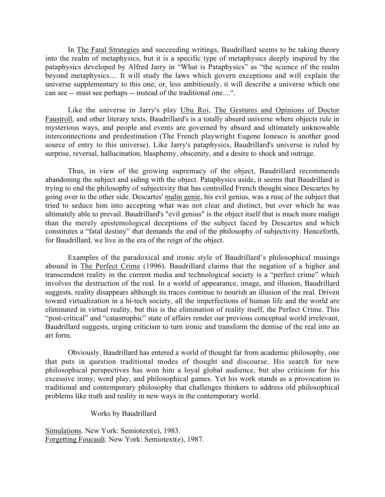In The Fatal Strategies and succeeding writings, Baudrillard seems to be taking theory into the realm of metaphysics, but it is a specific type of metaphysics deeply inspired by the pataphysics developed by Alfred Jarry in "What is Pataphysics" as "the science of the realm beyond metaphysics.... It will study the laws which govern exceptions and will explain the universe supplementary to this one; or, less ambitiously, it will describe a universe which one can see -- must see perhaps -- instead of the traditional one....".

Like the universe in Jarry's play Ubu Roi, The Gestures and Opinions of Doctor Faustroll, and other literary texts, Baudrillard's is a totally absurd universe where objects rule in mysterious ways, and people and events are governed by absurd and ultimately unknowable interconnections and predestination (The French playwright Eugene Ionesco is another good source of entry to this universe). Like Jarry's pataphysics, Baudrillard's universe is ruled by surprise, reversal, hallucination, blasphemy, obscenity, and a desire to shock and outrage.

Thus, in view of the growing supremacy of the object, Baudrillard recommends abandoning the subject and siding with the object. Pataphysics aside, it seems that Baudrillard is trying to end the philosophy of subjectivity that has controlled French thought since Descartes by going over to the other side. Descartes' malin genie, his evil genius, was a ruse of the subject that tried to seduce him into accepting what was not clear and distinct, but over which he was ultimately able to prevail. Baudrillard's "evil genius" is the object itself that is much more malign than the merely epistemological deceptions of the subject faced by Descartes and which constitutes a "fatal destiny" that demands the end of the philosophy of subjectivity. Henceforth, for Baudrillard, we live in the era of the reign of the object.

Examples of the paradoxical and ironic style of Baudrillard's philosophical musings abound in The Perfect Crime (1996). Baudrillard claims that the negation of a higher and transcendent reality in the current media and technological society is a "perfect crime" which involves the destruction of the real. In a world of appearance, image, and illusion, Baudrillard suggests, reality disappears although its traces continue to nourish an illusion of the real. Driven toward virtualization in a hi-tech society, all the imperfections of human life and the world are eliminated in virtual reality, but this is the elimination of reality itself, the Perfect Crime. This "post-critical" and "catastrophic" state of affairs render our previous conceptual world irrelevant, Baudrillard suggests, urging criticism to turn ironic and transform the demise of the real into an art form.

Obviously, Baudrillard has entered a world of thought far from academic philosophy, one that puts in question traditional modes of thought and discourse. His search for new philosophical perspectives has won him a loyal global audience, but also criticism for his excessive irony, word play, and philosophical games. Yet his work stands as a provocation to traditional and contemporary philosophy that challenges thinkers to address old philosophical problems like truth and reality in new ways in the contemporary world.

Works by Baudrillard

Simulations. New York: Semiotext(e), 1983. Forgetting Foucault. New York: Semiotext(e), 1987.